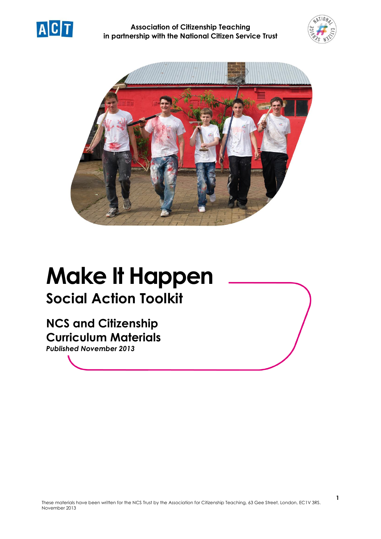





# **Make It Happen Social Action Toolkit**

**NCS and Citizenship Curriculum Materials**

*Published November 2013*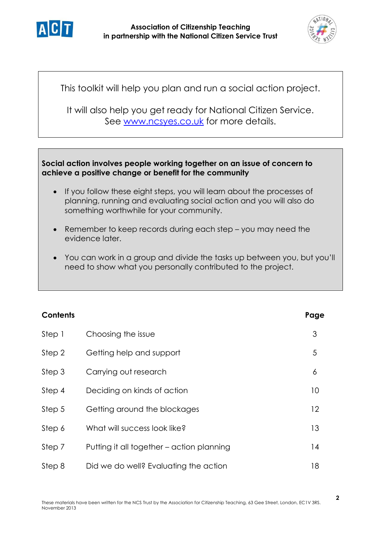



This toolkit will help you plan and run a social action project.

It will also help you get ready for National Citizen Service. See [www.ncsyes.co.uk](http://www.ncsyes.co.uk/) for more details.

# **Social action involves people working together on an issue of concern to achieve a positive change or benefit for the community**

- If you follow these eight steps, you will learn about the processes of planning, running and evaluating social action and you will also do something worthwhile for your community.
- Remember to keep records during each step you may need the evidence later.
- You can work in a group and divide the tasks up between you, but you'll need to show what you personally contributed to the project.

| <b>Contents</b> |                                           | Page |
|-----------------|-------------------------------------------|------|
| Step 1          | Choosing the issue                        | 3    |
| Step 2          | Getting help and support                  | 5    |
| Step 3          | Carrying out research                     | 6    |
| Step 4          | Deciding on kinds of action               | 10   |
| Step 5          | Getting around the blockages              | 12   |
| Step 6          | What will success look like?              | 13   |
| Step 7          | Putting it all together – action planning | 14   |
| Step 8          | Did we do well? Evaluating the action     | 18   |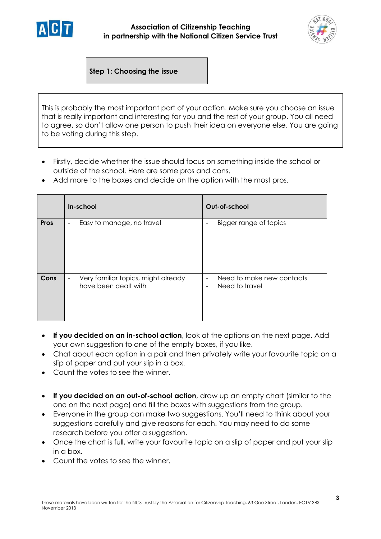



**Step 1: Choosing the issue**

This is probably the most important part of your action. Make sure you choose an issue that is really important and interesting for you and the rest of your group. You all need to agree, so don't allow one person to push their idea on everyone else. You are going to be voting during this step.

- Firstly, decide whether the issue should focus on something inside the school or outside of the school. Here are some pros and cons.
- Add more to the boxes and decide on the option with the most pros.

|             | In-school                                                                     | Out-of-school                                                                                       |
|-------------|-------------------------------------------------------------------------------|-----------------------------------------------------------------------------------------------------|
| <b>Pros</b> | Easy to manage, no travel<br>$\overline{\phantom{a}}$                         | Bigger range of topics<br>$\overline{\phantom{0}}$                                                  |
| Cons        | Very familiar topics, might already<br>$\blacksquare$<br>have been dealt with | Need to make new contacts<br>$\overline{\phantom{a}}$<br>Need to travel<br>$\overline{\phantom{a}}$ |

- **If you decided on an in-school action**, look at the options on the next page. Add your own suggestion to one of the empty boxes, if you like.
- Chat about each option in a pair and then privately write your favourite topic on a slip of paper and put your slip in a box.
- Count the votes to see the winner.
- **If you decided on an out-of-school action**, draw up an empty chart (similar to the one on the next page) and fill the boxes with suggestions from the group.
- Everyone in the group can make two suggestions. You'll need to think about your suggestions carefully and give reasons for each. You may need to do some research before you offer a suggestion.
- Once the chart is full, write your favourite topic on a slip of paper and put your slip in a box.
- Count the votes to see the winner.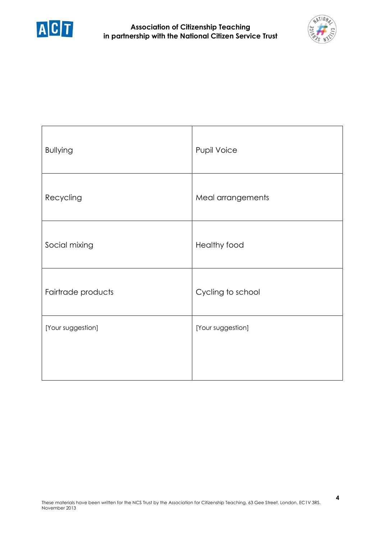



| <b>Bullying</b>    | Pupil Voice       |
|--------------------|-------------------|
| Recycling          | Meal arrangements |
| Social mixing      | Healthy food      |
| Fairtrade products | Cycling to school |
| [Your suggestion]  | [Your suggestion] |
|                    |                   |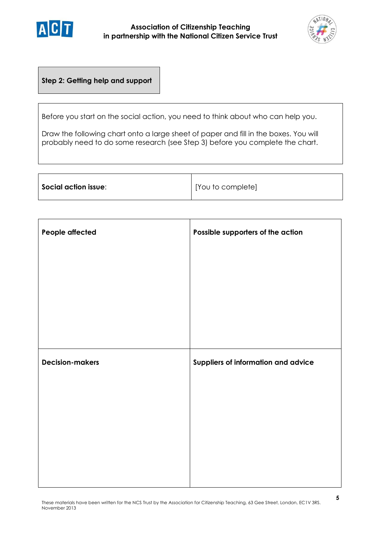



# **Step 2: Getting help and support**

Before you start on the social action, you need to think about who can help you.

Draw the following chart onto a large sheet of paper and fill in the boxes. You will probably need to do some research (see Step 3) before you complete the chart.

| $\mid$ Social action issue: | [You to complete] |
|-----------------------------|-------------------|
|-----------------------------|-------------------|

| People affected        | Possible supporters of the action   |
|------------------------|-------------------------------------|
|                        |                                     |
|                        |                                     |
|                        |                                     |
|                        |                                     |
| <b>Decision-makers</b> | Suppliers of information and advice |
|                        |                                     |
|                        |                                     |
|                        |                                     |
|                        |                                     |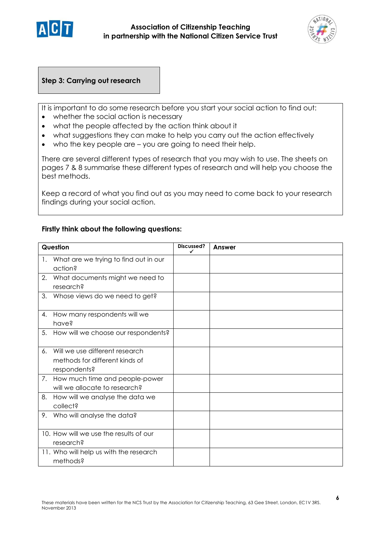



### **Step 3: Carrying out research**

It is important to do some research before you start your social action to find out:

- whether the social action is necessary
- what the people affected by the action think about it
- what suggestions they can make to help you carry out the action effectively
- who the key people are you are going to need their help.

There are several different types of research that you may wish to use. The sheets on pages 7 & 8 summarise these different types of research and will help you choose the best methods.

Keep a record of what you find out as you may need to come back to your research findings during your social action.

#### **Firstly think about the following questions:**

| Question |                                                                                  | Discussed?<br>✓ | Answer |
|----------|----------------------------------------------------------------------------------|-----------------|--------|
|          | 1. What are we trying to find out in our<br>action?                              |                 |        |
| 2.       | What documents might we need to<br>research?                                     |                 |        |
| 3.       | Whose views do we need to get?                                                   |                 |        |
| 4.       | How many respondents will we<br>have?                                            |                 |        |
| 5.       | How will we choose our respondents?                                              |                 |        |
| 6.       | Will we use different research<br>methods for different kinds of<br>respondents? |                 |        |
| 7.       | How much time and people-power<br>will we allocate to research?                  |                 |        |
| 8.       | How will we analyse the data we<br>collect?                                      |                 |        |
|          | 9. Who will analyse the data?                                                    |                 |        |
|          | 10. How will we use the results of our<br>research?                              |                 |        |
|          | 11. Who will help us with the research<br>methods?                               |                 |        |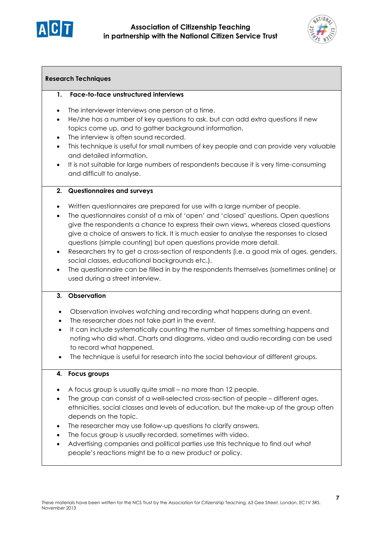



#### **Research Techniques**

#### **1. Face-to-face unstructured interviews**

- The interviewer interviews one person at a time.
- He/she has a number of key questions to ask, but can add extra questions if new topics come up, and to gather background information.
- The interview is often sound recorded.
- This technique is useful for small numbers of key people and can provide very valuable and detailed information.
- It is not suitable for large numbers of respondents because it is very time-consuming and difficult to analyse.

#### **2. Questionnaires and surveys**

- Written questionnaires are prepared for use with a large number of people.
- The questionnaires consist of a mix of 'open' and 'closed' questions. Open questions give the respondents a chance to express their own views, whereas closed questions give a choice of answers to tick. It is much easier to analyse the responses to closed questions (simple counting) but open questions provide more detail.
- Researchers try to get a cross-section of respondents (i.e. a good mix of ages, genders, social classes, educational backgrounds etc.).
- The questionnaire can be filled in by the respondents themselves (sometimes online) or used during a street interview.

#### **3. Observation**

- Observation involves watching and recording what happens during an event.
- The researcher does not take part in the event.
- It can include systematically counting the number of times something happens and noting who did what. Charts and diagrams, video and audio recording can be used to record what happened.
- The technique is useful for research into the social behaviour of different groups.

#### **4. Focus groups**

- A focus group is usually quite small no more than 12 people.
- The group can consist of a well-selected cross-section of people different ages, ethnicities, social classes and levels of education, but the make-up of the group often depends on the topic.
- The researcher may use follow-up questions to clarify answers.
- The focus group is usually recorded, sometimes with video.
- Advertising companies and political parties use this technique to find out what people's reactions might be to a new product or policy.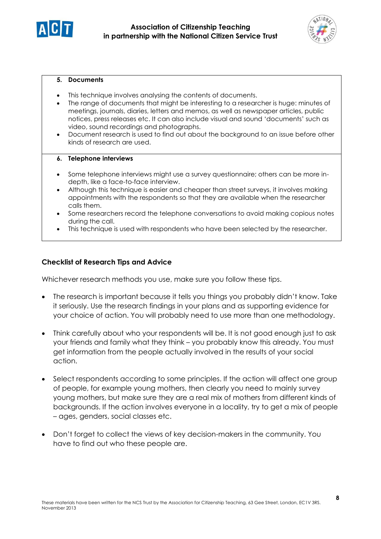



#### **5. Documents**

- This technique involves analysing the contents of documents.
- The range of documents that might be interesting to a researcher is huge: minutes of meetings, journals, diaries, letters and memos, as well as newspaper articles, public notices, press releases etc. It can also include visual and sound 'documents' such as video, sound recordings and photographs.
- Document research is used to find out about the background to an issue before other kinds of research are used.

#### **6. Telephone interviews**

- Some telephone interviews might use a survey questionnaire; others can be more indepth, like a face-to-face interview.
- Although this technique is easier and cheaper than street surveys, it involves making appointments with the respondents so that they are available when the researcher calls them.
- Some researchers record the telephone conversations to avoid making copious notes during the call.
- This technique is used with respondents who have been selected by the researcher.

#### **Checklist of Research Tips and Advice**

Whichever research methods you use, make sure you follow these tips.

- The research is important because it tells you things you probably didn't know. Take it seriously. Use the research findings in your plans and as supporting evidence for your choice of action. You will probably need to use more than one methodology.
- Think carefully about who your respondents will be. It is not good enough just to ask your friends and family what they think – you probably know this already. You must get information from the people actually involved in the results of your social action.
- Select respondents according to some principles. If the action will affect one group of people, for example young mothers, then clearly you need to mainly survey young mothers, but make sure they are a real mix of mothers from different kinds of backgrounds. If the action involves everyone in a locality, try to get a mix of people – ages, genders, social classes etc.
- Don't forget to collect the views of key decision-makers in the community. You have to find out who these people are.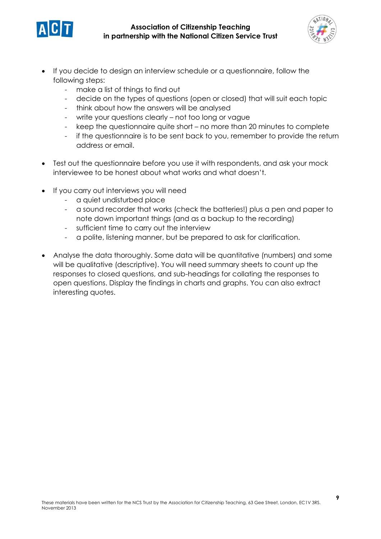



- If you decide to design an interview schedule or a questionnaire, follow the following steps:
	- make a list of things to find out
	- decide on the types of questions (open or closed) that will suit each topic
	- think about how the answers will be analysed
	- write your questions clearly not too long or vague
	- keep the questionnaire quite short no more than 20 minutes to complete
	- if the questionnaire is to be sent back to you, remember to provide the return address or email.
- Test out the questionnaire before you use it with respondents, and ask your mock interviewee to be honest about what works and what doesn't.
- If you carry out interviews you will need
	- a quiet undisturbed place
	- a sound recorder that works (check the batteries!) plus a pen and paper to note down important things (and as a backup to the recording)
	- sufficient time to carry out the interview
	- a polite, listening manner, but be prepared to ask for clarification.
- Analyse the data thoroughly. Some data will be quantitative (numbers) and some will be qualitative (descriptive). You will need summary sheets to count up the responses to closed questions, and sub-headings for collating the responses to open questions. Display the findings in charts and graphs. You can also extract interesting quotes.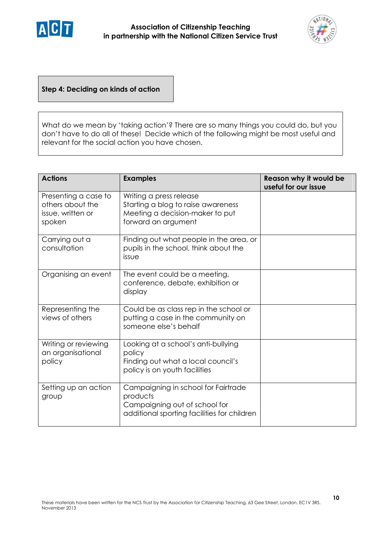



**Step 4: Deciding on kinds of action**

What do we mean by 'taking action'? There are so many things you could do, but you don't have to do all of these! Decide which of the following might be most useful and relevant for the social action you have chosen.

| <b>Actions</b>                                                          | <b>Examples</b>                                                                                                                 | Reason why it would be<br>useful for our issue |
|-------------------------------------------------------------------------|---------------------------------------------------------------------------------------------------------------------------------|------------------------------------------------|
| Presenting a case to<br>others about the<br>issue, written or<br>spoken | Writing a press release<br>Starting a blog to raise awareness<br>Meeting a decision-maker to put<br>forward an argument         |                                                |
| Carrying out a<br>consultation                                          | Finding out what people in the area, or<br>pupils in the school, think about the<br>issue                                       |                                                |
| Organising an event                                                     | The event could be a meeting,<br>conference, debate, exhibition or<br>display                                                   |                                                |
| Representing the<br>views of others                                     | Could be as class rep in the school or<br>putting a case in the community on<br>someone else's behalf                           |                                                |
| Writing or reviewing<br>an organisational<br>policy                     | Looking at a school's anti-bullying<br>policy<br>Finding out what a local council's<br>policy is on youth facilities            |                                                |
| Setting up an action<br>group                                           | Campaigning in school for Fairtrade<br>products<br>Campaigning out of school for<br>additional sporting facilities for children |                                                |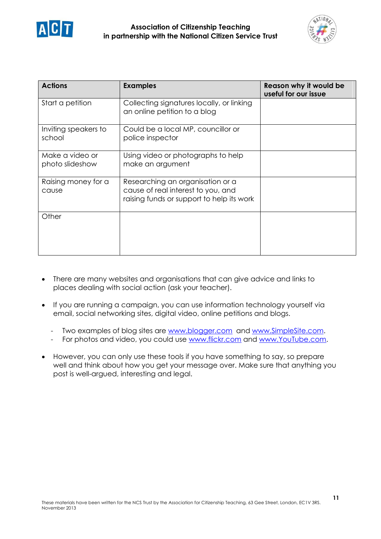



| <b>Actions</b>                     | <b>Examples</b>                                                                                                     | Reason why it would be<br>useful for our issue |
|------------------------------------|---------------------------------------------------------------------------------------------------------------------|------------------------------------------------|
| Start a petition                   | Collecting signatures locally, or linking<br>an online petition to a blog                                           |                                                |
| Inviting speakers to<br>school     | Could be a local MP, councillor or<br>police inspector                                                              |                                                |
| Make a video or<br>photo slideshow | Using video or photographs to help<br>make an argument                                                              |                                                |
| Raising money for a<br>cause       | Researching an organisation or a<br>cause of real interest to you, and<br>raising funds or support to help its work |                                                |
| Other                              |                                                                                                                     |                                                |

- There are many websites and organisations that can give advice and links to places dealing with social action (ask your teacher).
- If you are running a campaign, you can use information technology yourself via email, social networking sites, digital video, online petitions and blogs.
	- Two examples of blog sites are [www.blogger.com](http://www.blogger.com/) and [www.SimpleSite.com.](http://www.simplesite.com/)
	- For photos and video, you could use [www.flickr.com](http://www.flickr.com/) and [www.YouTube.com.](http://www.youtube.com/)
- However, you can only use these tools if you have something to say, so prepare well and think about how you get your message over. Make sure that anything you post is well-argued, interesting and legal.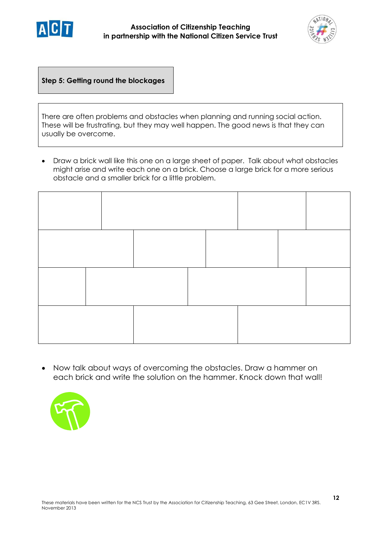



**Step 5: Getting round the blockages**

There are often problems and obstacles when planning and running social action. These will be frustrating, but they may well happen. The good news is that they can usually be overcome.

 Draw a brick wall like this one on a large sheet of paper. Talk about what obstacles might arise and write each one on a brick. Choose a large brick for a more serious obstacle and a smaller brick for a little problem.



 Now talk about ways of overcoming the obstacles. Draw a hammer on each brick and write the solution on the hammer. Knock down that wall!

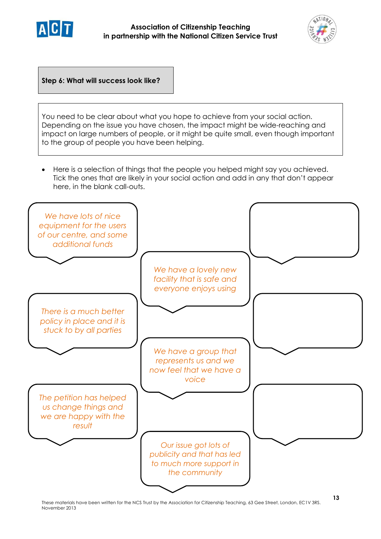



**Step 6: What will success look like?**

You need to be clear about what you hope to achieve from your social action. Depending on the issue you have chosen, the impact might be wide-reaching and impact on large numbers of people, or it might be quite small, even though important to the group of people you have been helping.

 Here is a selection of things that the people you helped might say you achieved. Tick the ones that are likely in your social action and add in any that don't appear here, in the blank call-outs.

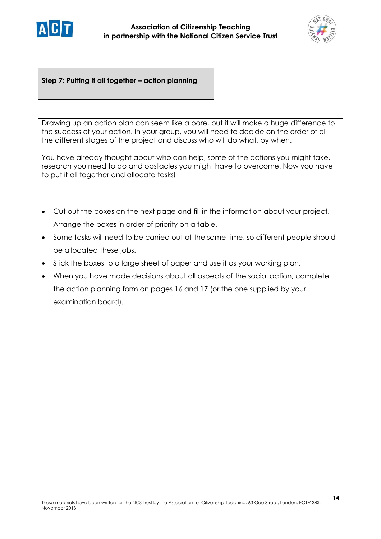



**Step 7: Putting it all together – action planning**

Drawing up an action plan can seem like a bore, but it will make a huge difference to the success of your action. In your group, you will need to decide on the order of all the different stages of the project and discuss who will do what, by when.

You have already thought about who can help, some of the actions you might take, research you need to do and obstacles you might have to overcome. Now you have to put it all together and allocate tasks!

- Cut out the boxes on the next page and fill in the information about your project. Arrange the boxes in order of priority on a table.
- Some tasks will need to be carried out at the same time, so different people should be allocated these jobs.
- Stick the boxes to a large sheet of paper and use it as your working plan.
- When you have made decisions about all aspects of the social action, complete the action planning form on pages 16 and 17 (or the one supplied by your examination board).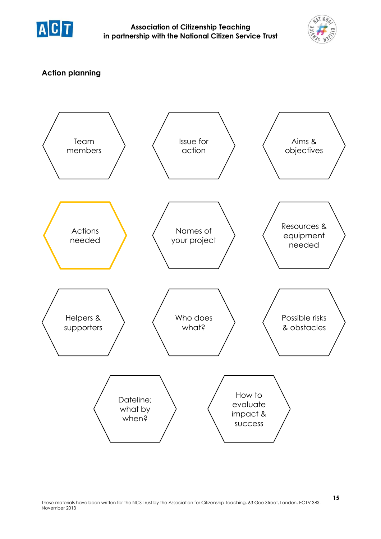



# **Action planning**

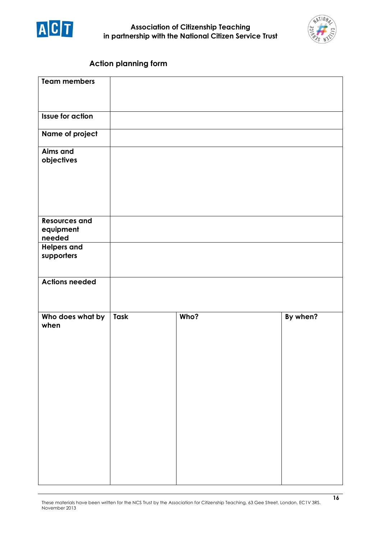



# **Action planning form**

| <b>Team members</b>                         |      |      |          |
|---------------------------------------------|------|------|----------|
| <b>Issue for action</b>                     |      |      |          |
| Name of project                             |      |      |          |
| <b>Aims and</b><br>objectives               |      |      |          |
| <b>Resources and</b><br>equipment<br>needed |      |      |          |
| <b>Helpers and</b><br>supporters            |      |      |          |
| <b>Actions needed</b>                       |      |      |          |
| Who does what by<br>when                    | Task | Who? | By when? |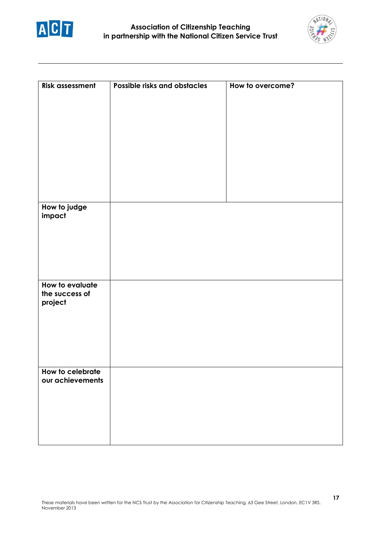



| <b>Risk assessment</b>            | Possible risks and obstacles | How to overcome? |
|-----------------------------------|------------------------------|------------------|
|                                   |                              |                  |
|                                   |                              |                  |
|                                   |                              |                  |
|                                   |                              |                  |
|                                   |                              |                  |
|                                   |                              |                  |
|                                   |                              |                  |
|                                   |                              |                  |
| How to judge                      |                              |                  |
| impact                            |                              |                  |
|                                   |                              |                  |
|                                   |                              |                  |
|                                   |                              |                  |
|                                   |                              |                  |
| How to evaluate<br>the success of |                              |                  |
| project                           |                              |                  |
|                                   |                              |                  |
|                                   |                              |                  |
|                                   |                              |                  |
|                                   |                              |                  |
| How to celebrate                  |                              |                  |
| our achievements                  |                              |                  |
|                                   |                              |                  |
|                                   |                              |                  |
|                                   |                              |                  |
|                                   |                              |                  |